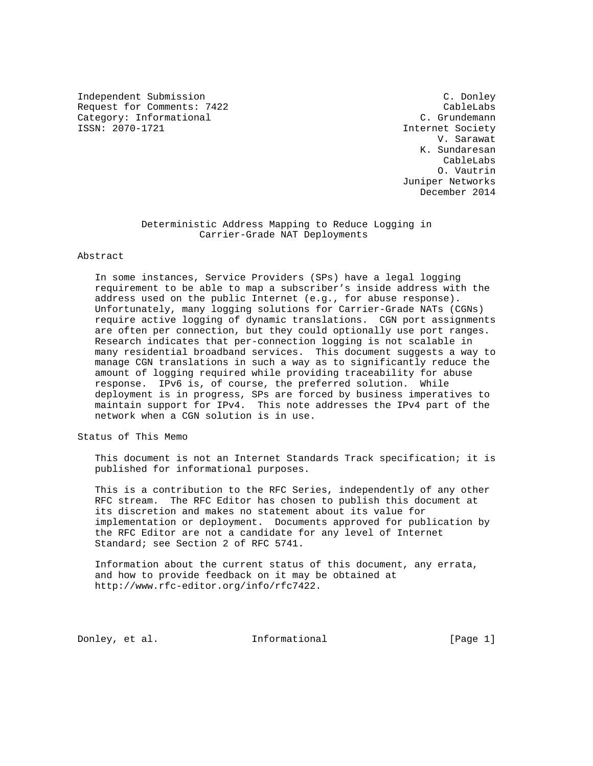Independent Submission C. Donley Request for Comments: 7422 CableLabs<br>
Category: Informational C. Grundemann Category: Informational<br>ISSN: 2070-1721

Internet Society V. Sarawat K. Sundaresan CableLabs O. Vautrin Juniper Networks December 2014

## Deterministic Address Mapping to Reduce Logging in Carrier-Grade NAT Deployments

## Abstract

 In some instances, Service Providers (SPs) have a legal logging requirement to be able to map a subscriber's inside address with the address used on the public Internet (e.g., for abuse response). Unfortunately, many logging solutions for Carrier-Grade NATs (CGNs) require active logging of dynamic translations. CGN port assignments are often per connection, but they could optionally use port ranges. Research indicates that per-connection logging is not scalable in many residential broadband services. This document suggests a way to manage CGN translations in such a way as to significantly reduce the amount of logging required while providing traceability for abuse response. IPv6 is, of course, the preferred solution. While deployment is in progress, SPs are forced by business imperatives to maintain support for IPv4. This note addresses the IPv4 part of the network when a CGN solution is in use.

Status of This Memo

 This document is not an Internet Standards Track specification; it is published for informational purposes.

 This is a contribution to the RFC Series, independently of any other RFC stream. The RFC Editor has chosen to publish this document at its discretion and makes no statement about its value for implementation or deployment. Documents approved for publication by the RFC Editor are not a candidate for any level of Internet Standard; see Section 2 of RFC 5741.

 Information about the current status of this document, any errata, and how to provide feedback on it may be obtained at http://www.rfc-editor.org/info/rfc7422.

Donley, et al.  $\qquad \qquad$  Informational [Page 1]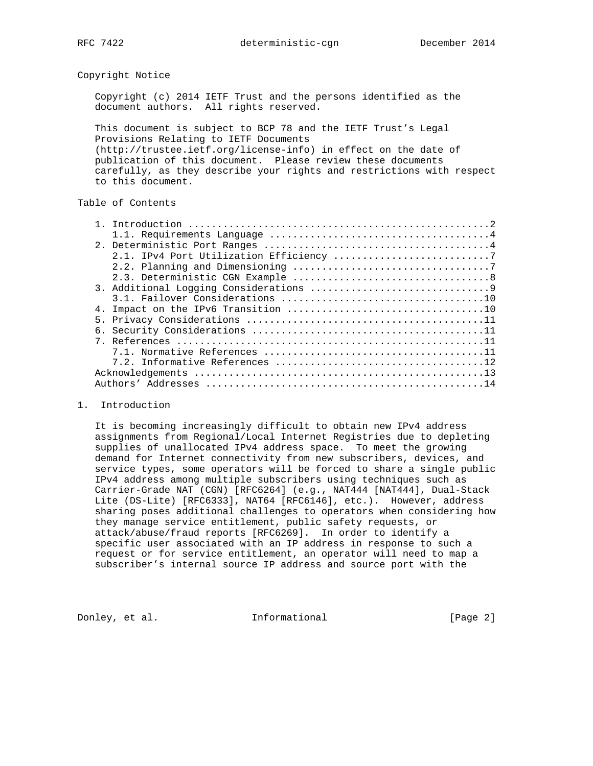Copyright Notice

 Copyright (c) 2014 IETF Trust and the persons identified as the document authors. All rights reserved.

 This document is subject to BCP 78 and the IETF Trust's Legal Provisions Relating to IETF Documents (http://trustee.ietf.org/license-info) in effect on the date of publication of this document. Please review these documents carefully, as they describe your rights and restrictions with respect to this document.

# Table of Contents

#### 1. Introduction

 It is becoming increasingly difficult to obtain new IPv4 address assignments from Regional/Local Internet Registries due to depleting supplies of unallocated IPv4 address space. To meet the growing demand for Internet connectivity from new subscribers, devices, and service types, some operators will be forced to share a single public IPv4 address among multiple subscribers using techniques such as Carrier-Grade NAT (CGN) [RFC6264] (e.g., NAT444 [NAT444], Dual-Stack Lite (DS-Lite) [RFC6333], NAT64 [RFC6146], etc.). However, address sharing poses additional challenges to operators when considering how they manage service entitlement, public safety requests, or attack/abuse/fraud reports [RFC6269]. In order to identify a specific user associated with an IP address in response to such a request or for service entitlement, an operator will need to map a subscriber's internal source IP address and source port with the

Donley, et al. 1nformational [Page 2]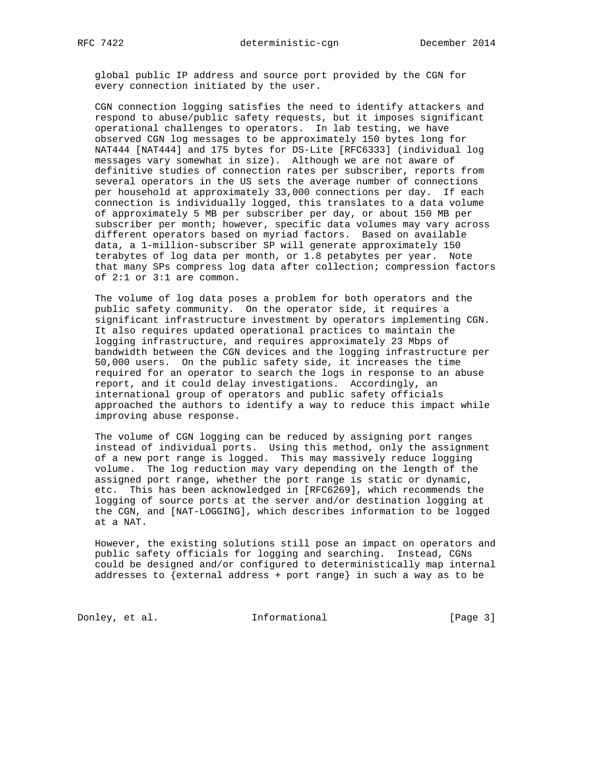global public IP address and source port provided by the CGN for every connection initiated by the user.

 CGN connection logging satisfies the need to identify attackers and respond to abuse/public safety requests, but it imposes significant operational challenges to operators. In lab testing, we have observed CGN log messages to be approximately 150 bytes long for NAT444 [NAT444] and 175 bytes for DS-Lite [RFC6333] (individual log messages vary somewhat in size). Although we are not aware of definitive studies of connection rates per subscriber, reports from several operators in the US sets the average number of connections per household at approximately 33,000 connections per day. If each connection is individually logged, this translates to a data volume of approximately 5 MB per subscriber per day, or about 150 MB per subscriber per month; however, specific data volumes may vary across different operators based on myriad factors. Based on available data, a 1-million-subscriber SP will generate approximately 150 terabytes of log data per month, or 1.8 petabytes per year. Note that many SPs compress log data after collection; compression factors of 2:1 or 3:1 are common.

 The volume of log data poses a problem for both operators and the public safety community. On the operator side, it requires a significant infrastructure investment by operators implementing CGN. It also requires updated operational practices to maintain the logging infrastructure, and requires approximately 23 Mbps of bandwidth between the CGN devices and the logging infrastructure per 50,000 users. On the public safety side, it increases the time required for an operator to search the logs in response to an abuse report, and it could delay investigations. Accordingly, an international group of operators and public safety officials approached the authors to identify a way to reduce this impact while improving abuse response.

 The volume of CGN logging can be reduced by assigning port ranges instead of individual ports. Using this method, only the assignment of a new port range is logged. This may massively reduce logging volume. The log reduction may vary depending on the length of the assigned port range, whether the port range is static or dynamic, etc. This has been acknowledged in [RFC6269], which recommends the logging of source ports at the server and/or destination logging at the CGN, and [NAT-LOGGING], which describes information to be logged at a NAT.

 However, the existing solutions still pose an impact on operators and public safety officials for logging and searching. Instead, CGNs could be designed and/or configured to deterministically map internal addresses to {external address + port range} in such a way as to be

Donley, et al. 1nformational [Page 3]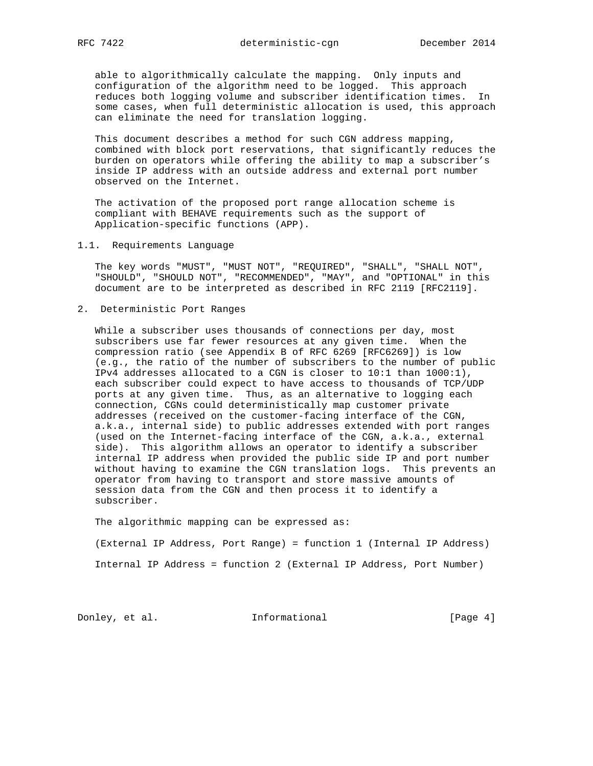able to algorithmically calculate the mapping. Only inputs and configuration of the algorithm need to be logged. This approach reduces both logging volume and subscriber identification times. In some cases, when full deterministic allocation is used, this approach can eliminate the need for translation logging.

 This document describes a method for such CGN address mapping, combined with block port reservations, that significantly reduces the burden on operators while offering the ability to map a subscriber's inside IP address with an outside address and external port number observed on the Internet.

 The activation of the proposed port range allocation scheme is compliant with BEHAVE requirements such as the support of Application-specific functions (APP).

1.1. Requirements Language

 The key words "MUST", "MUST NOT", "REQUIRED", "SHALL", "SHALL NOT", "SHOULD", "SHOULD NOT", "RECOMMENDED", "MAY", and "OPTIONAL" in this document are to be interpreted as described in RFC 2119 [RFC2119].

2. Deterministic Port Ranges

 While a subscriber uses thousands of connections per day, most subscribers use far fewer resources at any given time. When the compression ratio (see Appendix B of RFC 6269 [RFC6269]) is low (e.g., the ratio of the number of subscribers to the number of public IPv4 addresses allocated to a CGN is closer to 10:1 than 1000:1), each subscriber could expect to have access to thousands of TCP/UDP ports at any given time. Thus, as an alternative to logging each connection, CGNs could deterministically map customer private addresses (received on the customer-facing interface of the CGN, a.k.a., internal side) to public addresses extended with port ranges (used on the Internet-facing interface of the CGN, a.k.a., external side). This algorithm allows an operator to identify a subscriber internal IP address when provided the public side IP and port number without having to examine the CGN translation logs. This prevents an operator from having to transport and store massive amounts of session data from the CGN and then process it to identify a subscriber.

The algorithmic mapping can be expressed as:

 (External IP Address, Port Range) = function 1 (Internal IP Address) Internal IP Address = function 2 (External IP Address, Port Number)

Donley, et al. 1nformational [Page 4]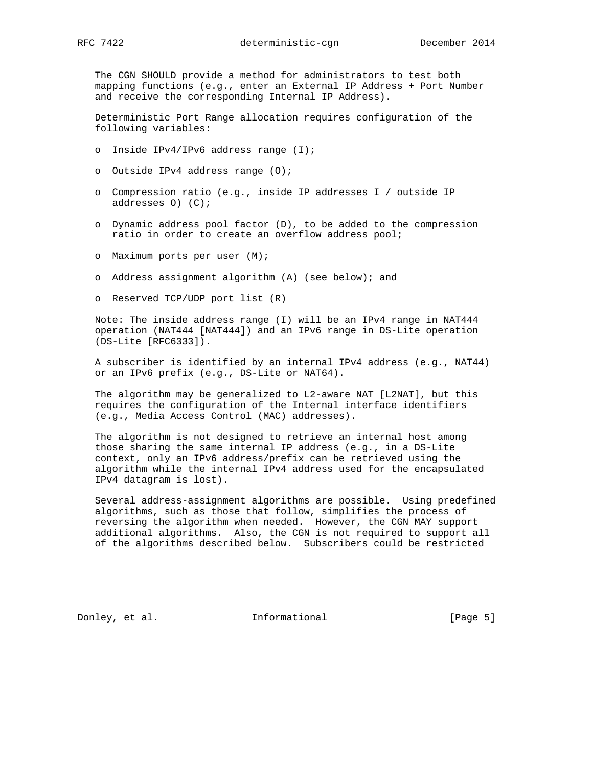The CGN SHOULD provide a method for administrators to test both mapping functions (e.g., enter an External IP Address + Port Number and receive the corresponding Internal IP Address).

 Deterministic Port Range allocation requires configuration of the following variables:

- o Inside IPv4/IPv6 address range (I);
- o Outside IPv4 address range (O);
- o Compression ratio (e.g., inside IP addresses I / outside IP addresses O) (C);
- o Dynamic address pool factor (D), to be added to the compression ratio in order to create an overflow address pool;
- o Maximum ports per user (M);
- o Address assignment algorithm (A) (see below); and
- o Reserved TCP/UDP port list (R)

 Note: The inside address range (I) will be an IPv4 range in NAT444 operation (NAT444 [NAT444]) and an IPv6 range in DS-Lite operation (DS-Lite [RFC6333]).

 A subscriber is identified by an internal IPv4 address (e.g., NAT44) or an IPv6 prefix (e.g., DS-Lite or NAT64).

The algorithm may be generalized to L2-aware NAT [L2NAT], but this requires the configuration of the Internal interface identifiers (e.g., Media Access Control (MAC) addresses).

 The algorithm is not designed to retrieve an internal host among those sharing the same internal IP address (e.g., in a DS-Lite context, only an IPv6 address/prefix can be retrieved using the algorithm while the internal IPv4 address used for the encapsulated IPv4 datagram is lost).

 Several address-assignment algorithms are possible. Using predefined algorithms, such as those that follow, simplifies the process of reversing the algorithm when needed. However, the CGN MAY support additional algorithms. Also, the CGN is not required to support all of the algorithms described below. Subscribers could be restricted

Donley, et al. 1nformational [Page 5]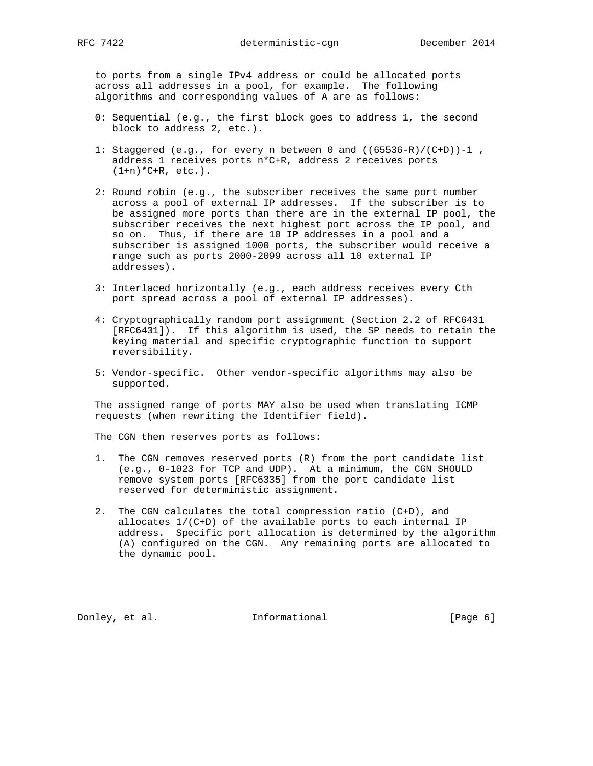to ports from a single IPv4 address or could be allocated ports across all addresses in a pool, for example. The following algorithms and corresponding values of A are as follows:

- 0: Sequential (e.g., the first block goes to address 1, the second block to address 2, etc.).
- 1: Staggered (e.g., for every n between 0 and  $((65536-R)/(C+D))-1$ , address 1 receives ports n\*C+R, address 2 receives ports  $(1+n)*C+R$ , etc.).
- 2: Round robin (e.g., the subscriber receives the same port number across a pool of external IP addresses. If the subscriber is to be assigned more ports than there are in the external IP pool, the subscriber receives the next highest port across the IP pool, and so on. Thus, if there are 10 IP addresses in a pool and a subscriber is assigned 1000 ports, the subscriber would receive a range such as ports 2000-2099 across all 10 external IP addresses).
- 3: Interlaced horizontally (e.g., each address receives every Cth port spread across a pool of external IP addresses).
- 4: Cryptographically random port assignment (Section 2.2 of RFC6431 [RFC6431]). If this algorithm is used, the SP needs to retain the keying material and specific cryptographic function to support reversibility.
- 5: Vendor-specific. Other vendor-specific algorithms may also be supported.

 The assigned range of ports MAY also be used when translating ICMP requests (when rewriting the Identifier field).

The CGN then reserves ports as follows:

- 1. The CGN removes reserved ports (R) from the port candidate list (e.g., 0-1023 for TCP and UDP). At a minimum, the CGN SHOULD remove system ports [RFC6335] from the port candidate list reserved for deterministic assignment.
- 2. The CGN calculates the total compression ratio (C+D), and allocates 1/(C+D) of the available ports to each internal IP address. Specific port allocation is determined by the algorithm (A) configured on the CGN. Any remaining ports are allocated to the dynamic pool.

Donley, et al. 1nformational [Page 6]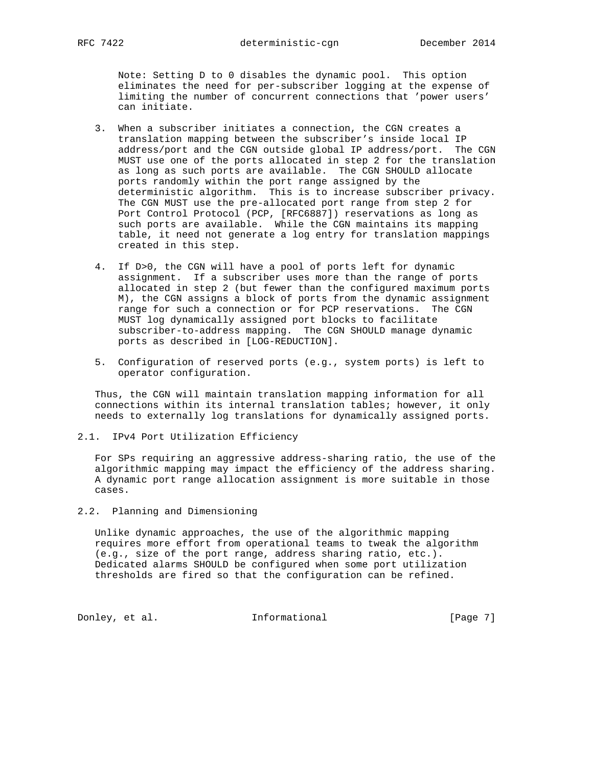Note: Setting D to 0 disables the dynamic pool. This option eliminates the need for per-subscriber logging at the expense of limiting the number of concurrent connections that 'power users' can initiate.

- 3. When a subscriber initiates a connection, the CGN creates a translation mapping between the subscriber's inside local IP address/port and the CGN outside global IP address/port. The CGN MUST use one of the ports allocated in step 2 for the translation as long as such ports are available. The CGN SHOULD allocate ports randomly within the port range assigned by the deterministic algorithm. This is to increase subscriber privacy. The CGN MUST use the pre-allocated port range from step 2 for Port Control Protocol (PCP, [RFC6887]) reservations as long as such ports are available. While the CGN maintains its mapping table, it need not generate a log entry for translation mappings created in this step.
- 4. If D>0, the CGN will have a pool of ports left for dynamic assignment. If a subscriber uses more than the range of ports allocated in step 2 (but fewer than the configured maximum ports M), the CGN assigns a block of ports from the dynamic assignment range for such a connection or for PCP reservations. The CGN MUST log dynamically assigned port blocks to facilitate subscriber-to-address mapping. The CGN SHOULD manage dynamic ports as described in [LOG-REDUCTION].
- 5. Configuration of reserved ports (e.g., system ports) is left to operator configuration.

 Thus, the CGN will maintain translation mapping information for all connections within its internal translation tables; however, it only needs to externally log translations for dynamically assigned ports.

2.1. IPv4 Port Utilization Efficiency

 For SPs requiring an aggressive address-sharing ratio, the use of the algorithmic mapping may impact the efficiency of the address sharing. A dynamic port range allocation assignment is more suitable in those cases.

2.2. Planning and Dimensioning

 Unlike dynamic approaches, the use of the algorithmic mapping requires more effort from operational teams to tweak the algorithm (e.g., size of the port range, address sharing ratio, etc.). Dedicated alarms SHOULD be configured when some port utilization thresholds are fired so that the configuration can be refined.

Donley, et al. 1nformational [Page 7]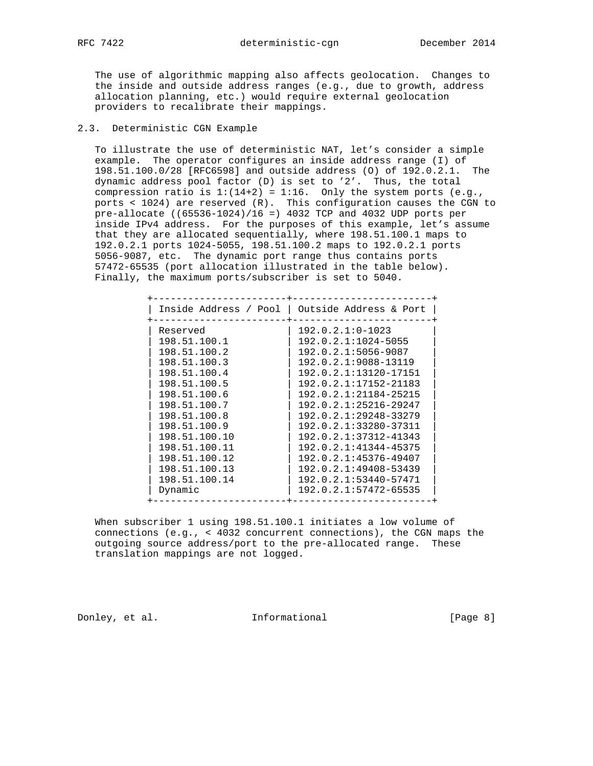The use of algorithmic mapping also affects geolocation. Changes to the inside and outside address ranges (e.g., due to growth, address allocation planning, etc.) would require external geolocation providers to recalibrate their mappings.

## 2.3. Deterministic CGN Example

 To illustrate the use of deterministic NAT, let's consider a simple example. The operator configures an inside address range (I) of 198.51.100.0/28 [RFC6598] and outside address (O) of 192.0.2.1. The dynamic address pool factor (D) is set to '2'. Thus, the total compression ratio is  $1:(14+2) = 1:16$ . Only the system ports (e.g., ports < 1024) are reserved (R). This configuration causes the CGN to pre-allocate ((65536-1024)/16 =) 4032 TCP and 4032 UDP ports per inside IPv4 address. For the purposes of this example, let's assume that they are allocated sequentially, where 198.51.100.1 maps to 192.0.2.1 ports 1024-5055, 198.51.100.2 maps to 192.0.2.1 ports 5056-9087, etc. The dynamic port range thus contains ports 57472-65535 (port allocation illustrated in the table below). Finally, the maximum ports/subscriber is set to 5040.

| Inside Address / Pool | Outside Address & Port |
|-----------------------|------------------------|
| Reserved              | $192.0.2.1:0-1023$     |
| 198.51.100.1          | 192.0.2.1:1024-5055    |
| 198.51.100.2          | 192.0.2.1:5056-9087    |
| 198.51.100.3          | 192.0.2.1:9088-13119   |
| 198.51.100.4          | 192.0.2.1:13120-17151  |
| 198.51.100.5          | 192.0.2.1:17152-21183  |
| 198.51.100.6          | 192.0.2.1:21184-25215  |
| 198.51.100.7          | 192.0.2.1:25216-29247  |
| 198.51.100.8          | 192.0.2.1:29248-33279  |
| 198.51.100.9          | 192.0.2.1:33280-37311  |
| 198.51.100.10         | 192.0.2.1:37312-41343  |
| 198.51.100.11         | 192.0.2.1:41344-45375  |
| 198.51.100.12         | 192.0.2.1:45376-49407  |
| 198.51.100.13         | 192.0.2.1:49408-53439  |
| 198.51.100.14         | 192.0.2.1:53440-57471  |
| Dynamic               | 192.0.2.1:57472-65535  |

 When subscriber 1 using 198.51.100.1 initiates a low volume of connections (e.g., < 4032 concurrent connections), the CGN maps the outgoing source address/port to the pre-allocated range. These translation mappings are not logged.

Donley, et al. 1nformational [Page 8]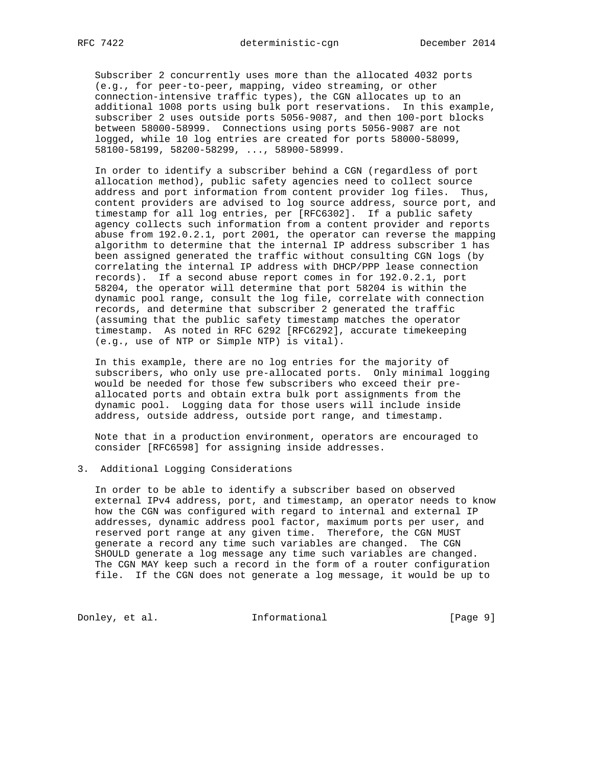Subscriber 2 concurrently uses more than the allocated 4032 ports (e.g., for peer-to-peer, mapping, video streaming, or other connection-intensive traffic types), the CGN allocates up to an additional 1008 ports using bulk port reservations. In this example, subscriber 2 uses outside ports 5056-9087, and then 100-port blocks between 58000-58999. Connections using ports 5056-9087 are not logged, while 10 log entries are created for ports 58000-58099, 58100-58199, 58200-58299, ..., 58900-58999.

 In order to identify a subscriber behind a CGN (regardless of port allocation method), public safety agencies need to collect source address and port information from content provider log files. Thus, content providers are advised to log source address, source port, and timestamp for all log entries, per [RFC6302]. If a public safety agency collects such information from a content provider and reports abuse from 192.0.2.1, port 2001, the operator can reverse the mapping algorithm to determine that the internal IP address subscriber 1 has been assigned generated the traffic without consulting CGN logs (by correlating the internal IP address with DHCP/PPP lease connection records). If a second abuse report comes in for 192.0.2.1, port 58204, the operator will determine that port 58204 is within the dynamic pool range, consult the log file, correlate with connection records, and determine that subscriber 2 generated the traffic (assuming that the public safety timestamp matches the operator timestamp. As noted in RFC 6292 [RFC6292], accurate timekeeping (e.g., use of NTP or Simple NTP) is vital).

 In this example, there are no log entries for the majority of subscribers, who only use pre-allocated ports. Only minimal logging would be needed for those few subscribers who exceed their pre allocated ports and obtain extra bulk port assignments from the dynamic pool. Logging data for those users will include inside address, outside address, outside port range, and timestamp.

 Note that in a production environment, operators are encouraged to consider [RFC6598] for assigning inside addresses.

#### 3. Additional Logging Considerations

 In order to be able to identify a subscriber based on observed external IPv4 address, port, and timestamp, an operator needs to know how the CGN was configured with regard to internal and external IP addresses, dynamic address pool factor, maximum ports per user, and reserved port range at any given time. Therefore, the CGN MUST generate a record any time such variables are changed. The CGN SHOULD generate a log message any time such variables are changed. The CGN MAY keep such a record in the form of a router configuration file. If the CGN does not generate a log message, it would be up to

Donley, et al. 1nformational [Page 9]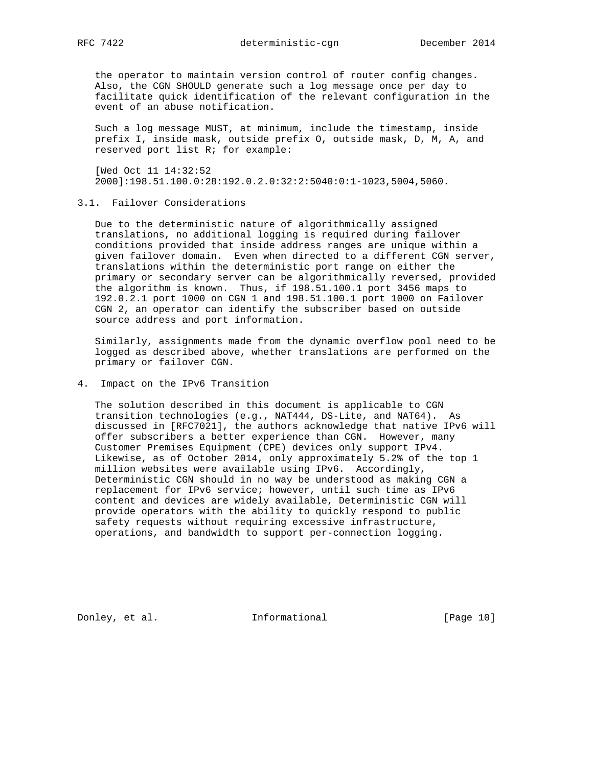the operator to maintain version control of router config changes. Also, the CGN SHOULD generate such a log message once per day to facilitate quick identification of the relevant configuration in the event of an abuse notification.

 Such a log message MUST, at minimum, include the timestamp, inside prefix I, inside mask, outside prefix O, outside mask, D, M, A, and reserved port list R; for example:

 [Wed Oct 11 14:32:52 2000]:198.51.100.0:28:192.0.2.0:32:2:5040:0:1-1023,5004,5060.

## 3.1. Failover Considerations

 Due to the deterministic nature of algorithmically assigned translations, no additional logging is required during failover conditions provided that inside address ranges are unique within a given failover domain. Even when directed to a different CGN server, translations within the deterministic port range on either the primary or secondary server can be algorithmically reversed, provided the algorithm is known. Thus, if 198.51.100.1 port 3456 maps to 192.0.2.1 port 1000 on CGN 1 and 198.51.100.1 port 1000 on Failover CGN 2, an operator can identify the subscriber based on outside source address and port information.

 Similarly, assignments made from the dynamic overflow pool need to be logged as described above, whether translations are performed on the primary or failover CGN.

## 4. Impact on the IPv6 Transition

 The solution described in this document is applicable to CGN transition technologies (e.g., NAT444, DS-Lite, and NAT64). As discussed in [RFC7021], the authors acknowledge that native IPv6 will offer subscribers a better experience than CGN. However, many Customer Premises Equipment (CPE) devices only support IPv4. Likewise, as of October 2014, only approximately 5.2% of the top 1 million websites were available using IPv6. Accordingly, Deterministic CGN should in no way be understood as making CGN a replacement for IPv6 service; however, until such time as IPv6 content and devices are widely available, Deterministic CGN will provide operators with the ability to quickly respond to public safety requests without requiring excessive infrastructure, operations, and bandwidth to support per-connection logging.

Donley, et al. 1nformational [Page 10]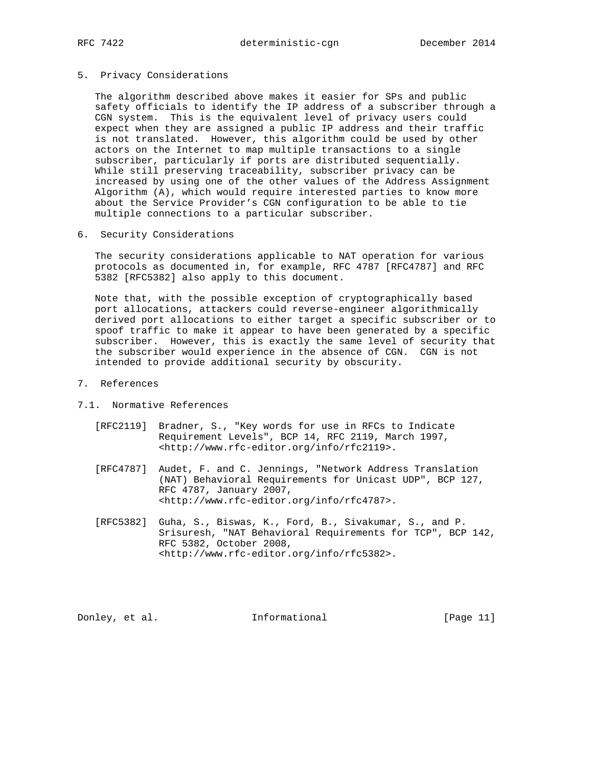#### 5. Privacy Considerations

 The algorithm described above makes it easier for SPs and public safety officials to identify the IP address of a subscriber through a CGN system. This is the equivalent level of privacy users could expect when they are assigned a public IP address and their traffic is not translated. However, this algorithm could be used by other actors on the Internet to map multiple transactions to a single subscriber, particularly if ports are distributed sequentially. While still preserving traceability, subscriber privacy can be increased by using one of the other values of the Address Assignment Algorithm (A), which would require interested parties to know more about the Service Provider's CGN configuration to be able to tie multiple connections to a particular subscriber.

# 6. Security Considerations

 The security considerations applicable to NAT operation for various protocols as documented in, for example, RFC 4787 [RFC4787] and RFC 5382 [RFC5382] also apply to this document.

 Note that, with the possible exception of cryptographically based port allocations, attackers could reverse-engineer algorithmically derived port allocations to either target a specific subscriber or to spoof traffic to make it appear to have been generated by a specific subscriber. However, this is exactly the same level of security that the subscriber would experience in the absence of CGN. CGN is not intended to provide additional security by obscurity.

- 7. References
- 7.1. Normative References
	- [RFC2119] Bradner, S., "Key words for use in RFCs to Indicate Requirement Levels", BCP 14, RFC 2119, March 1997, <http://www.rfc-editor.org/info/rfc2119>.
	- [RFC4787] Audet, F. and C. Jennings, "Network Address Translation (NAT) Behavioral Requirements for Unicast UDP", BCP 127, RFC 4787, January 2007, <http://www.rfc-editor.org/info/rfc4787>.
	- [RFC5382] Guha, S., Biswas, K., Ford, B., Sivakumar, S., and P. Srisuresh, "NAT Behavioral Requirements for TCP", BCP 142, RFC 5382, October 2008, <http://www.rfc-editor.org/info/rfc5382>.

Donley, et al. 100 Informational [Page 11]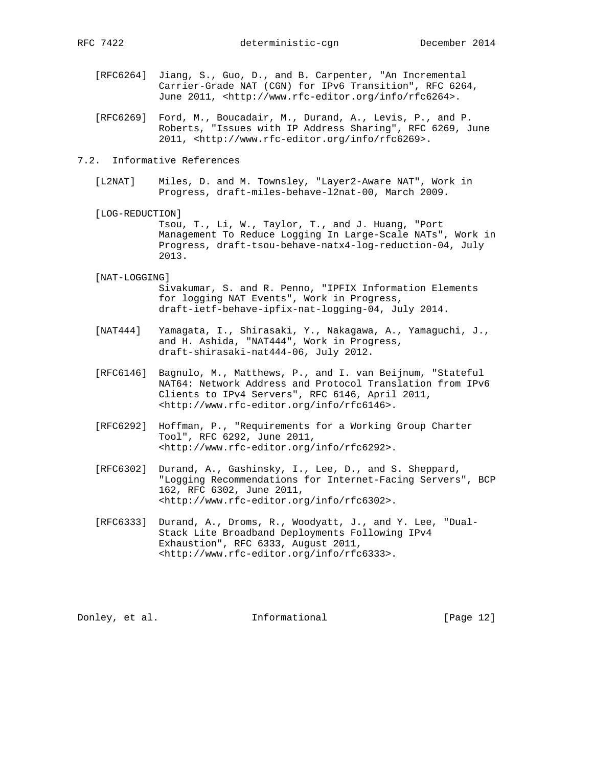- [RFC6264] Jiang, S., Guo, D., and B. Carpenter, "An Incremental Carrier-Grade NAT (CGN) for IPv6 Transition", RFC 6264, June 2011, <http://www.rfc-editor.org/info/rfc6264>.
- [RFC6269] Ford, M., Boucadair, M., Durand, A., Levis, P., and P. Roberts, "Issues with IP Address Sharing", RFC 6269, June 2011, <http://www.rfc-editor.org/info/rfc6269>.

## 7.2. Informative References

- [L2NAT] Miles, D. and M. Townsley, "Layer2-Aware NAT", Work in Progress, draft-miles-behave-l2nat-00, March 2009.
- [LOG-REDUCTION]

 Tsou, T., Li, W., Taylor, T., and J. Huang, "Port Management To Reduce Logging In Large-Scale NATs", Work in Progress, draft-tsou-behave-natx4-log-reduction-04, July 2013.

#### [NAT-LOGGING]

 Sivakumar, S. and R. Penno, "IPFIX Information Elements for logging NAT Events", Work in Progress, draft-ietf-behave-ipfix-nat-logging-04, July 2014.

- [NAT444] Yamagata, I., Shirasaki, Y., Nakagawa, A., Yamaguchi, J., and H. Ashida, "NAT444", Work in Progress, draft-shirasaki-nat444-06, July 2012.
- [RFC6146] Bagnulo, M., Matthews, P., and I. van Beijnum, "Stateful NAT64: Network Address and Protocol Translation from IPv6 Clients to IPv4 Servers", RFC 6146, April 2011, <http://www.rfc-editor.org/info/rfc6146>.
- [RFC6292] Hoffman, P., "Requirements for a Working Group Charter Tool", RFC 6292, June 2011, <http://www.rfc-editor.org/info/rfc6292>.
- [RFC6302] Durand, A., Gashinsky, I., Lee, D., and S. Sheppard, "Logging Recommendations for Internet-Facing Servers", BCP 162, RFC 6302, June 2011, <http://www.rfc-editor.org/info/rfc6302>.
- [RFC6333] Durand, A., Droms, R., Woodyatt, J., and Y. Lee, "Dual- Stack Lite Broadband Deployments Following IPv4 Exhaustion", RFC 6333, August 2011, <http://www.rfc-editor.org/info/rfc6333>.

Donley, et al. 1nformational [Page 12]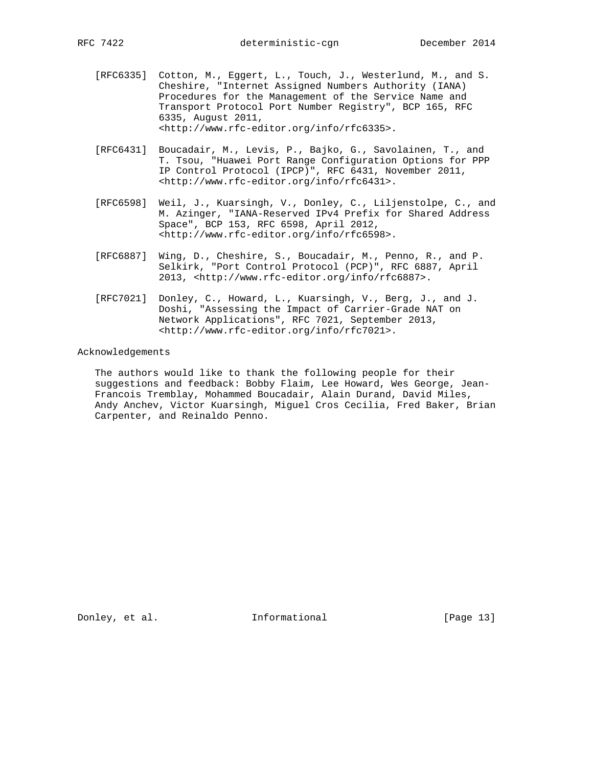- [RFC6335] Cotton, M., Eggert, L., Touch, J., Westerlund, M., and S. Cheshire, "Internet Assigned Numbers Authority (IANA) Procedures for the Management of the Service Name and Transport Protocol Port Number Registry", BCP 165, RFC 6335, August 2011, <http://www.rfc-editor.org/info/rfc6335>.
- [RFC6431] Boucadair, M., Levis, P., Bajko, G., Savolainen, T., and T. Tsou, "Huawei Port Range Configuration Options for PPP IP Control Protocol (IPCP)", RFC 6431, November 2011, <http://www.rfc-editor.org/info/rfc6431>.
- [RFC6598] Weil, J., Kuarsingh, V., Donley, C., Liljenstolpe, C., and M. Azinger, "IANA-Reserved IPv4 Prefix for Shared Address Space", BCP 153, RFC 6598, April 2012, <http://www.rfc-editor.org/info/rfc6598>.
- [RFC6887] Wing, D., Cheshire, S., Boucadair, M., Penno, R., and P. Selkirk, "Port Control Protocol (PCP)", RFC 6887, April 2013, <http://www.rfc-editor.org/info/rfc6887>.
- [RFC7021] Donley, C., Howard, L., Kuarsingh, V., Berg, J., and J. Doshi, "Assessing the Impact of Carrier-Grade NAT on Network Applications", RFC 7021, September 2013, <http://www.rfc-editor.org/info/rfc7021>.

#### Acknowledgements

 The authors would like to thank the following people for their suggestions and feedback: Bobby Flaim, Lee Howard, Wes George, Jean- Francois Tremblay, Mohammed Boucadair, Alain Durand, David Miles, Andy Anchev, Victor Kuarsingh, Miguel Cros Cecilia, Fred Baker, Brian Carpenter, and Reinaldo Penno.

Donley, et al. 1nformational [Page 13]